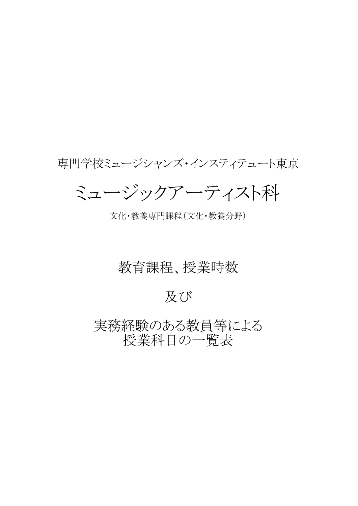### 専門学校ミュージシャンズ・インスティテュート東京

ミュージックアーティスト科

文化・教養専門課程(文化・教養分野)

### 教育課程、授業時数

及び

実務経験のある教員等による 授業科目の一覧表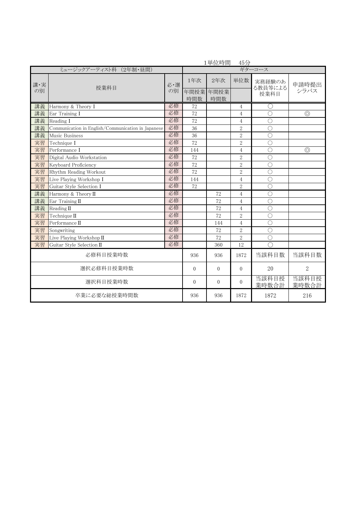| 1単位時間<br>45分           |                                                    |     |          |          |                |                       |                |  |
|------------------------|----------------------------------------------------|-----|----------|----------|----------------|-----------------------|----------------|--|
| ミュージックアーティスト科 (2年制・昼間) |                                                    |     |          |          |                | ギターコース                |                |  |
| 講·実                    | 授業科目                                               | 必·選 | 1年次      | 2年次      | 単位数            | 実務経験のあ<br>る教員等による     | 申請時提出          |  |
| の別                     |                                                    | の別  | 年間授業     | 年間授業     |                | 授業科目                  | シラバス           |  |
|                        |                                                    |     | 時間数      | 時間数      |                |                       |                |  |
| 講義                     | Harmony & Theory I                                 | 必修  | 72       |          | $\overline{4}$ | O                     |                |  |
| 講義                     | Ear Training I                                     | 必修  | 72       |          | $\overline{4}$ | $\bigcirc$            | $\circledcirc$ |  |
| 講義                     | Reading I                                          | 必修  | 72       |          | $\overline{4}$ | $\bigcirc$            |                |  |
| 講義                     | Communication in English/Communication in Japanese | 必修  | 36       |          | $\overline{2}$ | $\bigcirc$            |                |  |
| 講義                     | Music Business                                     | 必修  | 36       |          | $\sqrt{2}$     | $\bigcirc$            |                |  |
| 実習                     | Technique I                                        | 必修  | 72       |          | $\overline{2}$ | $\bigcirc$            |                |  |
| 実習                     | Performance I                                      | 必修  | 144      |          | $\overline{4}$ | $\bigcirc$            | $\circledcirc$ |  |
| 実習                     | Digital Audio Workstation                          | 必修  | 72       |          | $\overline{2}$ | $\bigcirc$            |                |  |
| 実習                     | Keyboard Proficiency                               | 必修  | 72       |          | $\sqrt{2}$     | $\bigcirc$            |                |  |
| 実習                     | Rhythm Reading Workout                             | 必修  | 72       |          | $\overline{2}$ | $\bigcirc$            |                |  |
| 実習                     | Live Playing Workshop I                            | 必修  | 144      |          | $\overline{4}$ | $\bigcirc$            |                |  |
| 実習                     | Guitar Style Selection I                           | 必修  | 72       |          | $\overline{2}$ | $\bigcirc$            |                |  |
| 講義                     | Harmony & Theory II                                | 必修  |          | 72       | $\overline{4}$ | $\bigcirc$            |                |  |
| 講義                     | Ear Training II                                    | 必修  |          | 72       | $\overline{4}$ | $\bigcirc$            |                |  |
| 講義                     | Reading $\Pi$                                      | 必修  |          | 72       | $\overline{4}$ | $\bigcirc$            |                |  |
| 実習                     | Technique II                                       | 必修  |          | 72       | $\overline{2}$ | $\bigcirc$            |                |  |
| 実習                     | Performance II                                     | 必修  |          | 144      | $\overline{4}$ | $\bigcirc$            |                |  |
| 実習                     | Songwriting                                        | 必修  |          | 72       | $\overline{2}$ | $\bigcirc$            |                |  |
| 実習                     | Live Playing Workshop II                           | 必修  |          | 72       | $\sqrt{2}$     | $\bigcirc$            |                |  |
| 実習                     | Guitar Style Selection II                          | 必修  |          | 360      | 12             | $\overline{\bigcirc}$ |                |  |
|                        | 必修科目授業時数                                           |     | 936      | 936      | 1872           | 当該科目数                 | 当該科目数          |  |
| 選択必修科目授業時数             |                                                    |     | $\theta$ | $\Omega$ | $\overline{0}$ | 20                    | $\overline{2}$ |  |
| 選択科目授業時数               |                                                    |     | $\Omega$ | $\Omega$ | $\Omega$       | 当該科目授<br>業時数合計        | 当該科目授<br>業時数合計 |  |
| 卒業に必要な総授業時間数           |                                                    |     | 936      | 936      | 1872           | 1872                  | 216            |  |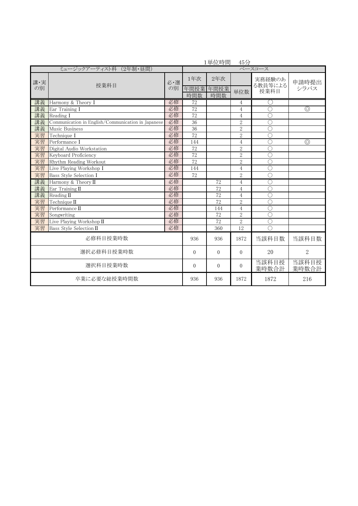|                        |                                                    | 1単位時間<br>45分 |                    |                    |                |                           |                |  |  |
|------------------------|----------------------------------------------------|--------------|--------------------|--------------------|----------------|---------------------------|----------------|--|--|
| ミュージックアーティスト科 (2年制・昼間) |                                                    |              |                    | ベースコース             |                |                           |                |  |  |
| 講·実<br>の別              | 授業科目                                               | 必・選<br>の別    | 1年次<br>年間授業<br>時間数 | 2年次<br>年間授業<br>時間数 | 単位数            | 実務経験のあ<br>る教員等による<br>授業科目 | 申請時提出<br>シラバス  |  |  |
| 講義                     | Harmony & Theory I                                 | 必修           | 72                 |                    | 4              |                           |                |  |  |
| 講義                     | Ear Training I                                     | 必修           | 72                 |                    | $\overline{4}$ | $\bigcap$                 | $\circledcirc$ |  |  |
| 講義                     | Reading I                                          | 必修           | 72                 |                    | $\overline{4}$ | $\bigcirc$                |                |  |  |
| 講義                     | Communication in English/Communication in Japanese | 必修           | 36                 |                    | $\overline{2}$ | O                         |                |  |  |
| 講義                     | Music Business                                     | 必修           | 36                 |                    | $\overline{2}$ | $\bigcirc$                |                |  |  |
| 実習                     | Technique I                                        | 必修           | 72                 |                    | $\overline{2}$ | $\overline{\bigcirc}$     |                |  |  |
| 実習                     | Performance I                                      | 必修           | 144                |                    | $\overline{4}$ | $\overline{C}$            | $\circledcirc$ |  |  |
| 実習                     | Digital Audio Workstation                          | 必修           | 72                 |                    | $\overline{2}$ | $\overline{C}$            |                |  |  |
| 実習                     | Keyboard Proficiency                               | 必修           | $\overline{72}$    |                    | $\overline{2}$ | $\bigcirc$                |                |  |  |
| 実習                     | Rhythm Reading Workout                             | 必修           | 72                 |                    | $\overline{2}$ | $\bigcirc$                |                |  |  |
| 実習                     | Live Playing Workshop I                            | 必修           | 144                |                    | $\overline{4}$ | $\overline{\bigcirc}$     |                |  |  |
| 実習                     | Bass Style Selection I                             | 必修           | 72                 |                    | $\overline{2}$ | $\bigcirc$                |                |  |  |
| 講義                     | Harmony & Theory II                                | 必修           |                    | 72                 | $\overline{4}$ | $\overline{\text{C}}$     |                |  |  |
| 講義                     | Ear Training $\Pi$                                 | 必修           |                    | $\overline{72}$    | $\overline{4}$ | $\subset$                 |                |  |  |
| 講義                     | Reading $\Pi$                                      | 必修           |                    | 72                 | $\overline{4}$ | $\bigcirc$                |                |  |  |
| 実習                     | Technique II                                       | 必修           |                    | 72                 | $\overline{2}$ | $\bigcirc$                |                |  |  |
| 実習                     | Performance II                                     | 必修           |                    | 144                | $\overline{4}$ | $\overline{\bigcirc}$     |                |  |  |
| 実習                     | Songwriting                                        | 必修           |                    | 72                 | $\overline{2}$ | $\mathcal C$              |                |  |  |
| 実習                     | Live Playing Workshop $\Pi$                        | 必修           |                    | 72                 | $\overline{2}$ | $\overline{\bigcirc}$     |                |  |  |
| 実習                     | Bass Style Selection II                            | 必修           |                    | 360                | 12             | $\subset$                 |                |  |  |
| 必修科目授業時数               |                                                    | 936          | 936                | 1872               | 当該科目数          | 当該科目数                     |                |  |  |
| 選択必修科目授業時数             |                                                    | $\Omega$     | $\Omega$           | $\Omega$           | 20             | $\overline{2}$            |                |  |  |
| 選択科目授業時数               |                                                    | $\theta$     | $\theta$           | $\Omega$           | 当該科目授<br>業時数合計 | 当該科目授<br>業時数合計            |                |  |  |
| 卒業に必要な総授業時間数           |                                                    |              | 936                | 936                | 1872           | 1872                      | 216            |  |  |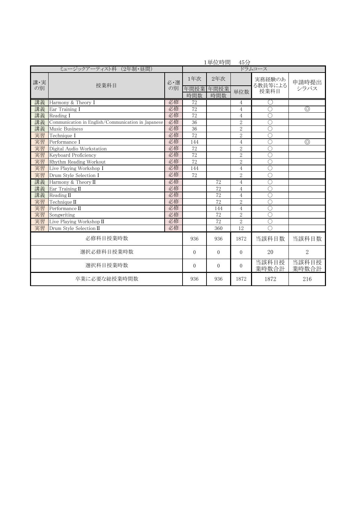|                        |                                                    | 1単位時間     | 45分                |                    |                |                           |                |  |
|------------------------|----------------------------------------------------|-----------|--------------------|--------------------|----------------|---------------------------|----------------|--|
| ミュージックアーティスト科 (2年制・昼間) |                                                    |           |                    | ドラムコース             |                |                           |                |  |
| 講·実<br>の別              | 授業科目                                               | 必·選<br>の別 | 1年次<br>年間授業<br>時間数 | 2年次<br>年間授業<br>時間数 | 単位数            | 実務経験のあ<br>る教員等による<br>授業科目 | 申請時提出<br>シラバス  |  |
| 講義                     | Harmony & Theory I                                 | 必修        | 72                 |                    | 4              |                           |                |  |
| 講義                     | Ear Training I                                     | 必修        | $\overline{72}$    |                    | $\overline{4}$ | $\bigcirc$                | $\circledcirc$ |  |
| 講義                     | Reading I                                          | 必修        | 72                 |                    | $\overline{4}$ | $\overline{\bigcirc}$     |                |  |
| 講義                     | Communication in English/Communication in Japanese | 必修        | 36                 |                    | $\overline{2}$ | $\bigcirc$                |                |  |
| 講義                     | Music Business                                     | 必修        | 36                 |                    | $\overline{2}$ | $\bigcirc$                |                |  |
| 実習                     | Technique I                                        | 必修        | $\overline{72}$    |                    | $\overline{2}$ | $\overline{\bigcirc}$     |                |  |
| 実習                     | Performance I                                      | 必修        | 144                |                    | $\overline{4}$ | $\bigcirc$                | $\circledcirc$ |  |
| 実習                     | Digital Audio Workstation                          | 必修        | 72                 |                    | $\overline{2}$ | $\bigcirc$                |                |  |
| 実習                     | Keyboard Proficiency                               | 必修        | $\overline{72}$    |                    | $\overline{2}$ | $\bigcirc$                |                |  |
| 実習                     | Rhythm Reading Workout                             | 必修        | $\overline{72}$    |                    | $\sqrt{2}$     | $\overline{C}$            |                |  |
| 実習                     | Live Playing Workshop I                            | 必修        | 144                |                    | 4              | $\overline{\bigcirc}$     |                |  |
| 実習                     | Drum Style Selection I                             | 必修        | 72                 |                    | $\overline{2}$ | $\bigcirc$                |                |  |
| 講義                     | Harmony & Theory II                                | 必修        |                    | 72                 | $\overline{4}$ | $\bigcirc$                |                |  |
| 講義                     | Ear Training II                                    | 必修        |                    | 72                 | $\overline{4}$ | $\bigcirc$                |                |  |
| 講義                     | Reading $\Pi$                                      | 必修        |                    | 72                 | $\overline{4}$ | $\bigcirc$                |                |  |
| 実習                     | Technique II                                       | 必修        |                    | 72                 | $\overline{2}$ | $\overline{C}$            |                |  |
| 実習                     | Performance $\Pi$                                  | 必修        |                    | 144                | 4              | $\bigcirc$                |                |  |
| 実習                     | Songwriting                                        | 必修        |                    | 72                 | $\overline{2}$ | $\bigcirc$                |                |  |
| 実習                     | Live Playing Workshop $\Pi$                        | 必修        |                    | 72                 | $\overline{2}$ | $\bigcirc$                |                |  |
| 実習                     | Drum Style Selection II                            | 必修        |                    | 360                | 12             | $\bigcap$                 |                |  |
| 必修科目授業時数               |                                                    | 936       | 936                | 1872               | 当該科目数          | 当該科目数                     |                |  |
| 選択必修科目授業時数             |                                                    |           | $\Omega$           | $\Omega$           | $\theta$       | 20                        | $\overline{2}$ |  |
| 選択科目授業時数               |                                                    | $\Omega$  | $\theta$           | $\theta$           | 当該科目授<br>業時数合計 | 当該科目授<br>業時数合計            |                |  |
| 卒業に必要な総授業時間数           |                                                    |           | 936                | 936                | 1872           | 1872                      | 216            |  |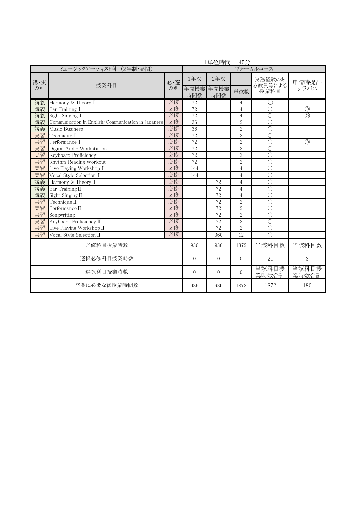|                        |                                                    |          | 1里位時間       | 45/         |                |                       |                |  |  |
|------------------------|----------------------------------------------------|----------|-------------|-------------|----------------|-----------------------|----------------|--|--|
| ミュージックアーティスト科 (2年制・昼間) |                                                    |          |             | ヴォーカルコース    |                |                       |                |  |  |
| 講·実                    |                                                    | 必·選      | 1年次         | 2年次         |                | 実務経験のあ<br>る教員等による     | 申請時提出          |  |  |
| の別                     | 授業科目                                               | の別       | 年間授業<br>時間数 | 年間授業<br>時間数 | 単位数            | 授業科目                  | シラバス           |  |  |
| 講義                     | Harmony & Theory I                                 | 必修       | 72          |             | 4              | $(\ )$                |                |  |  |
| 講義                     | Ear Training I                                     | 必修       | 72          |             | $\overline{4}$ | C                     | $\circledcirc$ |  |  |
| 講義                     | Sight Singing I                                    | 必修       | 72          |             | $\overline{4}$ | O                     | $\circledcirc$ |  |  |
| 講義                     | Communication in English/Communication in Japanese | 必修       | 36          |             | $\overline{2}$ | $\overline{\text{C}}$ |                |  |  |
| 講義                     | Music Business                                     | 必修       | 36          |             | $\sqrt{2}$     | $\overline{\bigcirc}$ |                |  |  |
| 実習                     | Technique I                                        | 必修       | 72          |             | $\sqrt{2}$     | $\overline{\text{C}}$ |                |  |  |
| 実習                     | Performance I                                      | 必修       | 72          |             | $\sqrt{2}$     | $\bigcirc$            | $\circledcirc$ |  |  |
| 実習                     | Digital Audio Workstation                          | 必修       | 72          |             | $\overline{2}$ | $\bigcirc$            |                |  |  |
| 実習                     | Keyboard Proficiency I                             | 必修       | 72          |             | $\sqrt{2}$     | $\overline{C}$        |                |  |  |
| 実習                     | Rhythm Reading Workout                             | 必修       | 72          |             | $\overline{2}$ | $\mathcal C$          |                |  |  |
| 実習                     | Live Playing Workshop I                            | 必修       | 144         |             | $\overline{4}$ | $\bigcirc$            |                |  |  |
| 実習                     | Vocal Style Selection I                            | 必修       | 144         |             | $\overline{4}$ | $\overline{\bigcirc}$ |                |  |  |
| 講義                     | Harmony & Theory II                                | 必修       |             | 72          | $\overline{4}$ | O                     |                |  |  |
| 講義                     | Ear Training II                                    | 必修       |             | 72          | 4              | $\circ$               |                |  |  |
| 講義                     | Sight Singing II                                   | 必修       |             | 72          | $\overline{4}$ | $\overline{\bigcirc}$ |                |  |  |
| 実習                     | Technique II                                       | 必修       |             | 72          | $\overline{2}$ | $\mathcal C$          |                |  |  |
| 実習                     | Performance II                                     | 必修       |             | 72          | $\overline{2}$ | $\bigcirc$            |                |  |  |
| 実習                     | Songwriting                                        | 必修       |             | 72          | $\overline{2}$ | $\overline{\bigcirc}$ |                |  |  |
| 実習                     | Keyboard Proficiency II                            | 必修       |             | 72          | $\overline{2}$ | $\overline{\bigcirc}$ |                |  |  |
| 実習                     | Live Playing Workshop II                           | 必修       |             | 72          | $\overline{2}$ | $\circ$               |                |  |  |
| 実習                     | Vocal Style Selection II                           | 必修       |             | 360         | 12             | C                     |                |  |  |
|                        | 必修科目授業時数                                           |          | 936         | 936         | 1872           | 当該科目数                 | 当該科目数          |  |  |
| 選択必修科目授業時数             |                                                    | $\theta$ | $\Omega$    | $\Omega$    | 21             | 3                     |                |  |  |
| 選択科目授業時数               |                                                    | $\Omega$ | $\Omega$    | $\Omega$    | 当該科目授<br>業時数合計 | 当該科目授<br>業時数合計        |                |  |  |
|                        | 卒業に必要な総授業時間数                                       |          | 936         | 936         | 1872           | 1872                  | 180            |  |  |

1単位時間 45分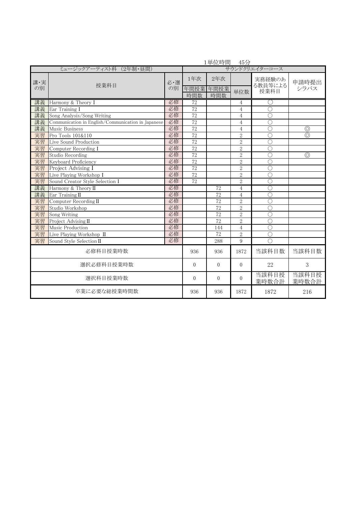|                        |                                                    | 1単位時間<br>- 45分 |                    |                    |                |                           |                |  |  |
|------------------------|----------------------------------------------------|----------------|--------------------|--------------------|----------------|---------------------------|----------------|--|--|
| ミュージックアーティスト科 (2年制・昼間) |                                                    |                |                    | サウンドクリエイターコース      |                |                           |                |  |  |
| 講·実<br>の別              | 授業科目                                               | 必・選<br>の別      | 1年次<br>年間授業<br>時間数 | 2年次<br>年間授業<br>時間数 | 単位数            | 実務経験のあ<br>る教員等による<br>授業科目 | 申請時提出<br>シラバス  |  |  |
| 講義                     | Harmony & Theory I                                 | 必修             | $\overline{72}$    |                    | 4              | ()                        |                |  |  |
| 講義                     | Ear Training I                                     | 必修             | 72                 |                    | $\overline{4}$ | $\subset$                 |                |  |  |
| 講義                     | Song Analysis/Song Writing                         | 必修             | 72                 |                    | 4              | $\overline{C}$            |                |  |  |
| 講義                     | Communication in English/Communication in Japanese | 必修             | 72                 |                    | 4              | $\subset$                 |                |  |  |
| 講義                     | Music Business                                     | 必修             | 72                 |                    | 4              | $\overline{C}$            | $\circledcirc$ |  |  |
| 実習                     | Pro Tools 101&110                                  | 必修             | 72                 |                    | $\overline{2}$ | C                         | $\circledcirc$ |  |  |
| 実習                     | Live Sound Production                              | 必修             | 72                 |                    | $\sqrt{2}$     | $\overline{C}$            |                |  |  |
| 実習                     | Computer Recording I                               | 必修             | 72                 |                    | $\overline{2}$ | $\overline{C}$            |                |  |  |
| 実習                     | Studio Recording                                   | 必修             | 72                 |                    | $\sqrt{2}$     | $\overline{C}$            | $\circledcirc$ |  |  |
| 実習                     | Keyboard Proficiency                               | 必修             | 72                 |                    | $\overline{2}$ | $\overline{C}$            |                |  |  |
| 実習                     | Project Advising I                                 | 必修             | 72                 |                    | $\overline{2}$ | $\overline{\bigcirc}$     |                |  |  |
| 実習                     | Live Playing Workshop I                            | 必修             | 72                 |                    | $\sqrt{2}$     | $\overline{\bigcirc}$     |                |  |  |
| 実習                     | Sound Creator Style Selection I                    | 必修             | 72                 |                    | $\overline{2}$ | $\bigcirc$                |                |  |  |
| 講義                     | Harmony & Theory II                                | 必修             |                    | 72                 | $\overline{4}$ | $\bigcap$                 |                |  |  |
| 講義                     | Ear Training II                                    | 必修             |                    | 72                 | $\overline{4}$ | $\subset$                 |                |  |  |
| 実習                     | Computer Recording II                              | 必修             |                    | 72                 | $\overline{2}$ | $\bigcap$                 |                |  |  |
| 実習                     | Studio Workshop                                    | 必修             |                    | 72                 | $\overline{2}$ | $\bigcirc$                |                |  |  |
| 実習                     | Song Writing                                       | 必修             |                    | 72                 | $\overline{2}$ | $\bigcap$                 |                |  |  |
| 実習                     | Project Advising II                                | 必修             |                    | 72                 | $\overline{2}$ | $\bigcirc$                |                |  |  |
| 実習                     | Music Production                                   | 必修             |                    | 144                | $\overline{4}$ | $\overline{\bigcirc}$     |                |  |  |
| 実習                     | Live Playing Workshop II                           | 必修             |                    | 72                 | $\overline{2}$ | $\mathcal C$              |                |  |  |
| 実習                     | Sound Style Selection II                           | 必修             |                    | 288                | 9              | $\bigcap$                 |                |  |  |
|                        | 必修科目授業時数                                           |                | 936                | 936                | 1872           | 当該科目数                     | 当該科目数          |  |  |
| 選択必修科目授業時数             |                                                    |                | $\Omega$           | $\Omega$           | $\Omega$       | 22                        | 3              |  |  |
| 選択科目授業時数               |                                                    |                | $\Omega$           | $\Omega$           | $\Omega$       | 当該科目授<br>業時数合計            | 当該科目授<br>業時数合計 |  |  |
| 卒業に必要な総授業時間数           |                                                    |                | 936                | 936                | 1872           | 1872                      | 216            |  |  |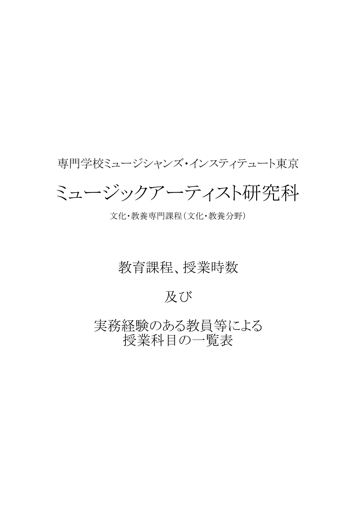## 専門学校ミュージシャンズ・インスティテュート東京

# ミュージックアーティスト研究科

#### 文化・教養専門課程(文化・教養分野)

### 教育課程、授業時数

### 及び

実務経験のある教員等による 授業科目の一覧表